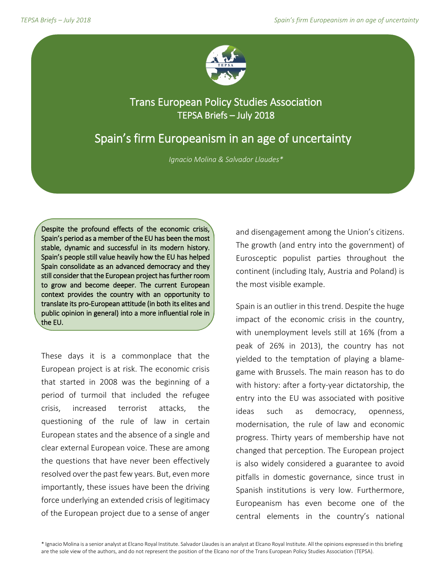

## Trans European Policy Studies Association TEPSA Briefs – July 2018

# Spain's firm Europeanism in an age of uncertainty

*Ignacio Molina & Salvador Llaudes\**

Despite the profound effects of the economic crisis, Spain's period as a member of the EU has been the most stable, dynamic and successful in its modern history. Spain's people still value heavily how the EU has helped Spain consolidate as an advanced democracy and they still consider that the European project has further room to grow and become deeper. The current European context provides the country with an opportunity to translate its pro-European attitude (in both its elites and public opinion in general) into a more influential role in the EU.

These days it is a commonplace that the European project is at risk. The economic crisis that started in 2008 was the beginning of a period of turmoil that included the refugee crisis, increased terrorist attacks, the questioning of the rule of law in certain European states and the absence of a single and clear external European voice. These are among the questions that have never been effectively resolved over the past few years. But, even more importantly, these issues have been the driving force underlying an extended crisis of legitimacy of the European project due to a sense of anger

and disengagement among the Union's citizens. The growth (and entry into the government) of Eurosceptic populist parties throughout the continent (including Italy, Austria and Poland) is the most visible example.

Spain is an outlier in this trend. Despite the huge impact of the economic crisis in the country, with unemployment levels still at 16% (from a peak of 26% in 2013), the country has not yielded to the temptation of playing a blamegame with Brussels. The main reason has to do with history: after a forty-year dictatorship, the entry into the EU was associated with positive ideas such as democracy, openness, modernisation, the rule of law and economic progress. Thirty years of membership have not changed that perception. The European project is also widely considered a guarantee to avoid pitfalls in domestic governance, since trust in Spanish institutions is very low. Furthermore, Europeanism has even become one of the central elements in the country's national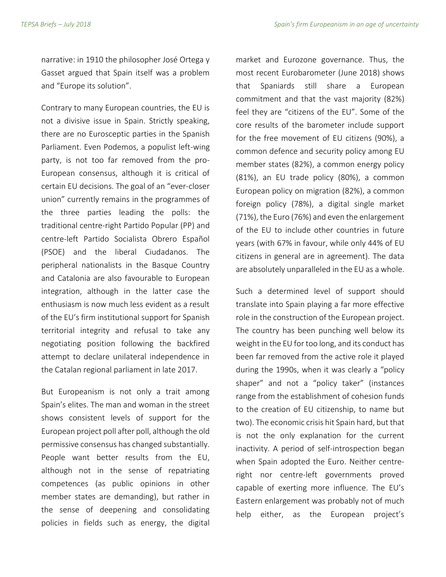narrative: in 1910 the philosopher José Ortega y Gasset argued that Spain itself was a problem and "Europe its solution".

Contrary to many European countries, the EU is not a divisive issue in Spain. Strictly speaking, there are no Eurosceptic parties in the Spanish Parliament. Even Podemos, a populist left-wing party, is not too far removed from the pro-European consensus, although it is critical of certain EU decisions. The goal of an "ever-closer union" currently remains in the programmes of the three parties leading the polls: the traditional centre-right Partido Popular (PP) and centre-left Partido Socialista Obrero Español (PSOE) and the liberal Ciudadanos. The peripheral nationalists in the Basque Country and Catalonia are also favourable to European integration, although in the latter case the enthusiasm is now much less evident as a result of the EU's firm institutional support for Spanish territorial integrity and refusal to take any negotiating position following the backfired attempt to declare unilateral independence in the Catalan regional parliament in late 2017.

But Europeanism is not only a trait among Spain's elites. The man and woman in the street shows consistent levels of support for the European project poll after poll, although the old permissive consensus has changed substantially. People want better results from the EU, although not in the sense of repatriating competences (as public opinions in other member states are demanding), but rather in the sense of deepening and consolidating policies in fields such as energy, the digital

market and Eurozone governance. Thus, the most recent Eurobarometer (June 2018) shows that Spaniards still share a European commitment and that the vast majority (82%) feel they are "citizens of the EU". Some of the core results of the barometer include support for the free movement of EU citizens (90%), a common defence and security policy among EU member states (82%), a common energy policy (81%), an EU trade policy (80%), a common European policy on migration (82%), a common foreign policy (78%), a digital single market (71%), the Euro (76%) and even the enlargement of the EU to include other countries in future years (with 67% in favour, while only 44% of EU citizens in general are in agreement). The data are absolutely unparalleled in the EU as a whole.

Such a determined level of support should translate into Spain playing a far more effective role in the construction of the European project. The country has been punching well below its weight in the EU for too long, and its conduct has been far removed from the active role it played during the 1990s, when it was clearly a "policy shaper" and not a "policy taker" (instances range from the establishment of cohesion funds to the creation of EU citizenship, to name but two). The economic crisis hit Spain hard, but that is not the only explanation for the current inactivity. A period of self-introspection began when Spain adopted the Euro. Neither centreright nor centre-left governments proved capable of exerting more influence. The EU's Eastern enlargement was probably not of much help either, as the European project's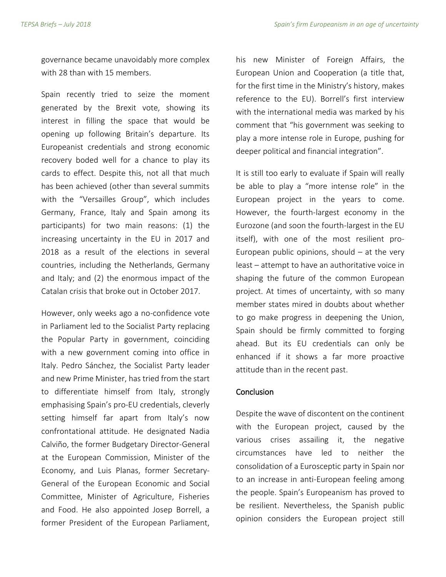governance became unavoidably more complex with 28 than with 15 members.

Spain recently tried to seize the moment generated by the Brexit vote, showing its interest in filling the space that would be opening up following Britain's departure. Its Europeanist credentials and strong economic recovery boded well for a chance to play its cards to effect. Despite this, not all that much has been achieved (other than several summits with the "Versailles Group", which includes Germany, France, Italy and Spain among its participants) for two main reasons: (1) the increasing uncertainty in the EU in 2017 and 2018 as a result of the elections in several countries, including the Netherlands, Germany and Italy; and (2) the enormous impact of the Catalan crisis that broke out in October 2017.

However, only weeks ago a no-confidence vote in Parliament led to the Socialist Party replacing the Popular Party in government, coinciding with a new government coming into office in Italy. Pedro Sánchez, the Socialist Party leader and new Prime Minister, has tried from the start to differentiate himself from Italy, strongly emphasising Spain's pro-EU credentials, cleverly setting himself far apart from Italy's now confrontational attitude. He designated Nadia Calviño, the former Budgetary Director-General at the European Commission, Minister of the Economy, and Luis Planas, former Secretary-General of the European Economic and Social Committee, Minister of Agriculture, Fisheries and Food. He also appointed Josep Borrell, a former President of the European Parliament,

his new Minister of Foreign Affairs, the European Union and Cooperation (a title that, for the first time in the Ministry's history, makes reference to the EU). Borrell's first interview with the international media was marked by his comment that "his government was seeking to play a more intense role in Europe, pushing for deeper political and financial integration".

It is still too early to evaluate if Spain will really be able to play a "more intense role" in the European project in the years to come. However, the fourth-largest economy in the Eurozone (and soon the fourth-largest in the EU itself), with one of the most resilient pro-European public opinions, should  $-$  at the very least – attempt to have an authoritative voice in shaping the future of the common European project. At times of uncertainty, with so many member states mired in doubts about whether to go make progress in deepening the Union, Spain should be firmly committed to forging ahead. But its EU credentials can only be enhanced if it shows a far more proactive attitude than in the recent past.

#### Conclusion

Despite the wave of discontent on the continent with the European project, caused by the various crises assailing it, the negative circumstances have led to neither the consolidation of a Eurosceptic party in Spain nor to an increase in anti-European feeling among the people. Spain's Europeanism has proved to be resilient. Nevertheless, the Spanish public opinion considers the European project still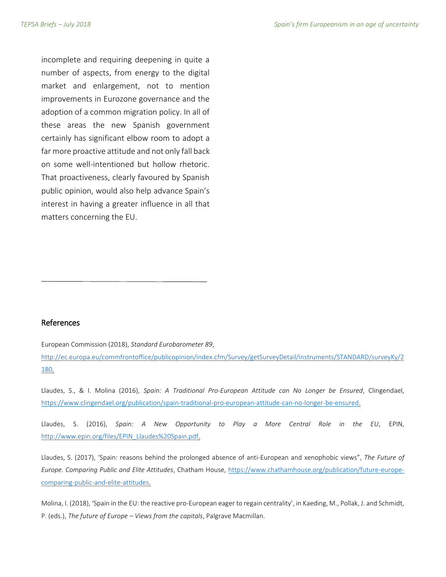incomplete and requiring deepening in quite a number of aspects, from energy to the digital market and enlargement, not to mention improvements in Eurozone governance and the adoption of a common migration policy. In all of these areas the new Spanish government certainly has significant elbow room to adopt a far more proactive attitude and not only fall back on some well-intentioned but hollow rhetoric. That proactiveness, clearly favoured by Spanish public opinion, would also help advance Spain's interest in having a greater influence in all that matters concerning the EU.

#### References

European Commission (2018), *Standard Eurobarometer 89*,

[http://ec.europa.eu/commfrontoffice/publicopinion/index.cfm/Survey/getSurveyDetail/instruments/STANDARD/surveyKy/2](http://ec.europa.eu/commfrontoffice/publicopinion/index.cfm/Survey/getSurveyDetail/instruments/STANDARD/surveyKy/2180) [180.](http://ec.europa.eu/commfrontoffice/publicopinion/index.cfm/Survey/getSurveyDetail/instruments/STANDARD/surveyKy/2180)

Llaudes, S., & I. Molina (2016), *Spain: A Traditional Pro-European Attitude can No Longer be Ensured*, Clingendael, [https://www.clingendael.org/publication/spain-traditional-pro-european-attitude-can-no-longer-be-ensured.](https://www.clingendael.org/publication/spain-traditional-pro-european-attitude-can-no-longer-be-ensured)

Llaudes, S. (2016), *Spain: A New Opportunity to Play a More Central Role in the EU*, EPIN, [http://www.epin.org/files/EPIN\\_Llaudes%20Spain.pdf.](http://www.epin.org/files/EPIN_Llaudes%20Spain.pdf)

Llaudes, S. (2017), 'Spain: reasons behind the prolonged absence of anti-European and xenophobic views", *The Future of Europe. Comparing Public and Elite Attitudes*, Chatham House, [https://www.chathamhouse.org/publication/future-europe](https://www.chathamhouse.org/publication/future-europe-comparing-public-and-elite-attitudes)[comparing-public-and-elite-attitudes.](https://www.chathamhouse.org/publication/future-europe-comparing-public-and-elite-attitudes)

Molina, I. (2018), 'Spain in the EU: the reactive pro-European eager to regain centrality', in Kaeding, M., Pollak, J. and Schmidt, P. (eds.), *The future of Europe – Views from the capitals*, Palgrave Macmillan.